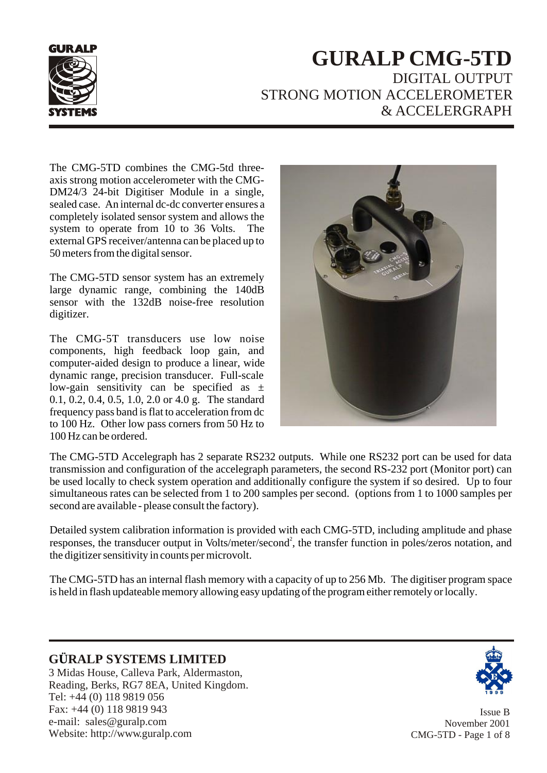

# **GURALP CMG-5TD** DIGITAL OUTPUT STRONG MOTION ACCELEROMETER & ACCELERGRAPH

The CMG-5TD combines the CMG-5td threeaxis strong motion accelerometer with the CMG-DM24/3 24-bit Digitiser Module in a single, sealed case. An internal dc-dc converter ensures a completely isolated sensor system and allows the system to operate from 10 to 36 Volts. The external GPS receiver/antenna can be placed up to 50 meters from the digital sensor.

The CMG-5TD sensor system has an extremely large dynamic range, combining the 140dB sensor with the 132dB noise-free resolution digitizer.

The CMG-5T transducers use low noise components, high feedback loop gain, and computer-aided design to produce a linear, wide dynamic range, precision transducer. Full-scale low-gain sensitivity can be specified as  $\pm$ 0.1, 0.2, 0.4, 0.5, 1.0, 2.0 or 4.0 g. The standard frequency pass band is flat to acceleration from dc to 100 Hz. Other low pass corners from 50 Hz to 100 Hz can be ordered.



The CMG-5TD Accelegraph has 2 separate RS232 outputs. While one RS232 port can be used for data transmission and configuration of the accelegraph parameters, the second RS-232 port (Monitor port) can be used locally to check system operation and additionally configure the system if so desired. Up to four simultaneous rates can be selected from 1 to 200 samples per second. (options from 1 to 1000 samples per second are available - please consult the factory).

Detailed system calibration information is provided with each CMG-5TD, including amplitude and phase responses, the transducer output in Volts/meter/second<sup>2</sup>, the transfer function in poles/zeros notation, and the digitizer sensitivity in counts per microvolt.

The CMG-5TD has an internal flash memory with a capacity of up to 256 Mb. The digitiser program space is held in flash updateable memory allowing easy updating of the program either remotely or locally.

# **G RALP SYSTEMS LIMITED Ü**

3 Midas House, Calleva Park, Aldermaston, Reading, Berks, RG7 8EA, United Kingdom. Tel: +44 (0) 118 9819 056 Fax: +44 (0) 118 9819 943 e-mail: sales@guralp.com Website: http://www.guralp.com



Issue B November 2001 CMG-5TD - Page 1 of 8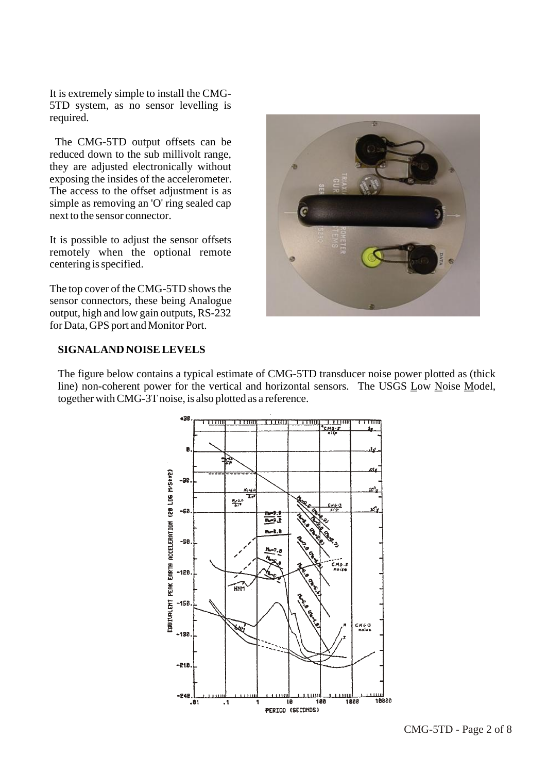It is extremely simple to install the CMG-5TD system, as no sensor levelling is required.

 The CMG-5TD output offsets can be reduced down to the sub millivolt range, they are adjusted electronically without exposing the insides of the accelerometer. The access to the offset adjustment is as simple as removing an 'O' ring sealed cap next to the sensor connector.

It is possible to adjust the sensor offsets remotely when the optional remote centering is specified.

The top cover of the CMG-5TD shows the sensor connectors, these being Analogue output, high and low gain outputs, RS-232 for Data, GPS port and Monitor Port.



#### **SIGNAL AND NOISE LEVELS**

The figure below contains a typical estimate of CMG-5TD transducer noise power plotted as (thick line) non-coherent power for the vertical and horizontal sensors. The USGS Low Noise Model, together with CMG-3T noise, is also plotted as a reference.

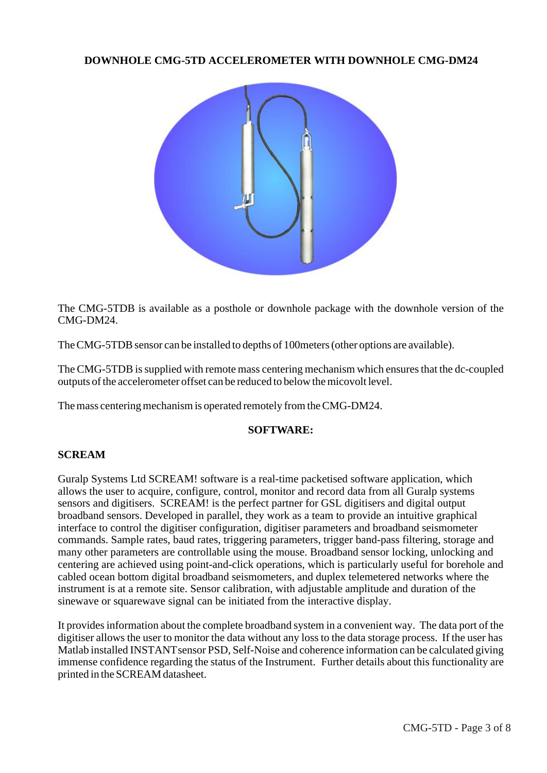## **DOWNHOLE CMG-5TD ACCELEROMETER WITH DOWNHOLE CMG-DM24**



The CMG-5TDB is available as a posthole or downhole package with the downhole version of the CMG-DM24.

The CMG-5TDB sensor can be installed to depths of 100meters (other options are available).

The CMG-5TDB is supplied with remote mass centering mechanism which ensures that the dc-coupled outputs of the accelerometer offset can be reduced to below the micovolt level.

The mass centering mechanism is operated remotely from the CMG-DM24.

### **SOFTWARE:**

#### **SCREAM**

Guralp Systems Ltd SCREAM! software is a real-time packetised software application, which allows the user to acquire, configure, control, monitor and record data from all Guralp systems sensors and digitisers. SCREAM! is the perfect partner for GSL digitisers and digital output broadband sensors. Developed in parallel, they work as a team to provide an intuitive graphical interface to control the digitiser configuration, digitiser parameters and broadband seismometer commands. Sample rates, baud rates, triggering parameters, trigger band-pass filtering, storage and many other parameters are controllable using the mouse. Broadband sensor locking, unlocking and centering are achieved using point-and-click operations, which is particularly useful for borehole and cabled ocean bottom digital broadband seismometers, and duplex telemetered networks where the instrument is at a remote site. Sensor calibration, with adjustable amplitude and duration of the sinewave or squarewave signal can be initiated from the interactive display.

It provides information about the complete broadband system in a convenient way. The data port of the digitiser allows the user to monitor the data without any loss to the data storage process. If the user has Matlab installed INSTANT sensor PSD, Self-Noise and coherence information can be calculated giving immense confidence regarding the status of the Instrument. Further details about this functionality are printed in the SCREAM datasheet.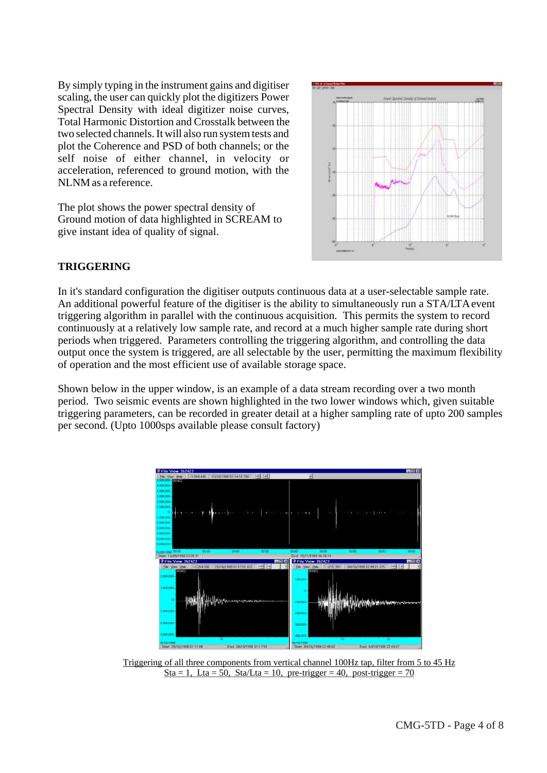By simply typing in the instrument gains and digitiser scaling, the user can quickly plot the digitizers Power Spectral Density with ideal digitizer noise curves, Total Harmonic Distortion and Crosstalk between the two selected channels. It will also run system tests and plot the Coherence and PSD of both channels; or the self noise of either channel, in velocity or acceleration, referenced to ground motion, with the NLNM as a reference.

The plot shows the power spectral density of Ground motion of data highlighted in SCREAM to give instant idea of quality of signal.



## **TRIGGERING**

In it's standard configuration the digitiser outputs continuous data at a user-selectable sample rate. An additional powerful feature of the digitiser is the ability to simultaneously run a STA/LTA event triggering algorithm in parallel with the continuous acquisition. This permits the system to record continuously at a relatively low sample rate, and record at a much higher sample rate during short periods when triggered. Parameters controlling the triggering algorithm, and controlling the data output once the system is triggered, are all selectable by the user, permitting the maximum flexibility of operation and the most efficient use of available storage space.

Shown below in the upper window, is an example of a data stream recording over a two month period. Two seismic events are shown highlighted in the two lower windows which, given suitable triggering parameters, can be recorded in greater detail at a higher sampling rate of upto 200 samples per second. (Upto 1000sps available please consult factory)



Triggering of all three components from vertical channel 100Hz tap, filter from 5 to 45 Hz Sta = 1, Lta = 50, Sta/Lta = 10, pre-trigger = 40, post-trigger =  $70$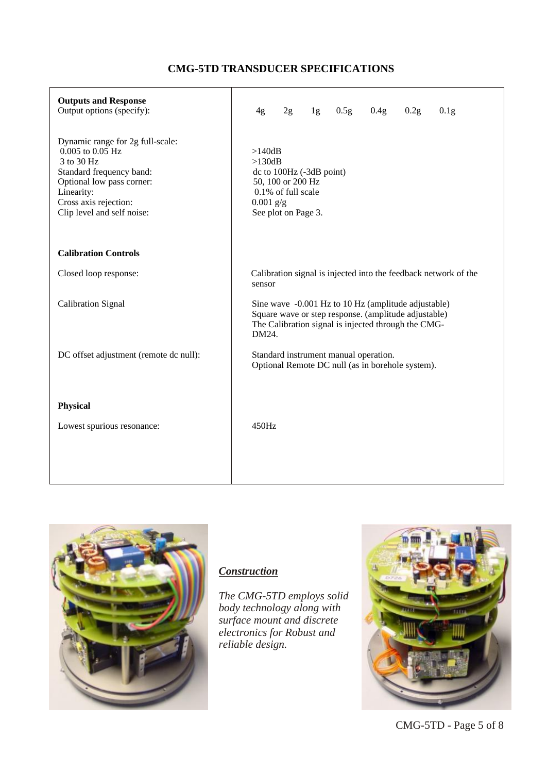# **CMG-5TD TRANSDUCER SPECIFICATIONS**

| <b>Outputs and Response</b><br>Output options (specify):                                                                                                                                         | 0.5g<br>0.4g<br>1g<br>0.2g<br>0.1 <sub>g</sub><br>4g<br>2g                                                                                                                  |
|--------------------------------------------------------------------------------------------------------------------------------------------------------------------------------------------------|-----------------------------------------------------------------------------------------------------------------------------------------------------------------------------|
| Dynamic range for 2g full-scale:<br>0.005 to 0.05 Hz<br>3 to 30 Hz<br>Standard frequency band:<br>Optional low pass corner:<br>Linearity:<br>Cross axis rejection:<br>Clip level and self noise: | >140dB<br>$>130$ dB<br>dc to 100Hz (-3dB point)<br>50, 100 or 200 Hz<br>0.1% of full scale<br>$0.001$ g/g<br>See plot on Page 3.                                            |
| <b>Calibration Controls</b>                                                                                                                                                                      |                                                                                                                                                                             |
| Closed loop response:                                                                                                                                                                            | Calibration signal is injected into the feedback network of the<br>sensor                                                                                                   |
| <b>Calibration Signal</b>                                                                                                                                                                        | Sine wave -0.001 Hz to 10 Hz (amplitude adjustable)<br>Square wave or step response. (amplitude adjustable)<br>The Calibration signal is injected through the CMG-<br>DM24. |
| DC offset adjustment (remote dc null):                                                                                                                                                           | Standard instrument manual operation.<br>Optional Remote DC null (as in borehole system).                                                                                   |
| <b>Physical</b>                                                                                                                                                                                  |                                                                                                                                                                             |
| Lowest spurious resonance:                                                                                                                                                                       | 450Hz                                                                                                                                                                       |
|                                                                                                                                                                                                  |                                                                                                                                                                             |



# *Construction*

*The CMG-5TD employs solid body technology along with surface mount and discrete electronics for Robust and reliable design.*



CMG-5TD - Page 5 of 8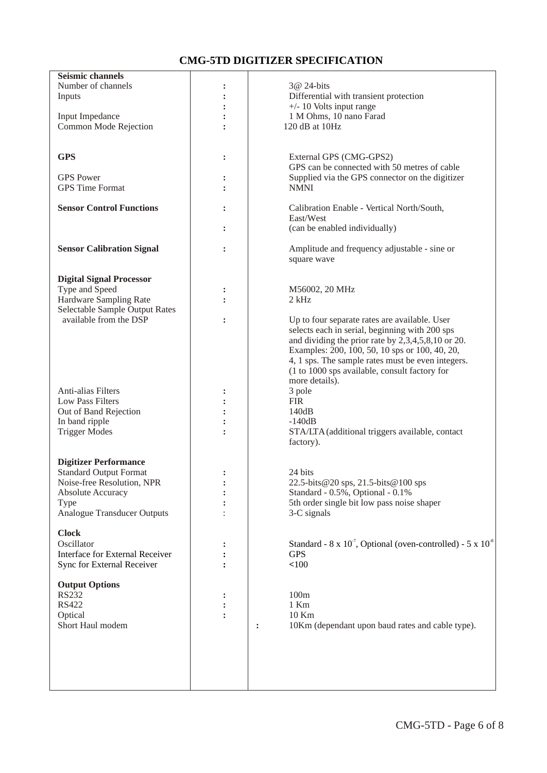### **CMG-5TD DIGITIZER SPECIFICATION**

| <b>Seismic channels</b>            |                      |                                                                                 |
|------------------------------------|----------------------|---------------------------------------------------------------------------------|
| Number of channels                 |                      | 3@ 24-bits                                                                      |
| Inputs                             |                      | Differential with transient protection                                          |
|                                    |                      |                                                                                 |
|                                    |                      | $+/- 10$ Volts input range                                                      |
| Input Impedance                    |                      | 1 M Ohms, 10 nano Farad                                                         |
| Common Mode Rejection              |                      | 120 dB at 10Hz                                                                  |
|                                    |                      |                                                                                 |
|                                    |                      |                                                                                 |
| <b>GPS</b>                         | $\ddot{\cdot}$       | External GPS (CMG-GPS2)                                                         |
|                                    |                      | GPS can be connected with 50 metres of cable                                    |
| <b>GPS</b> Power                   |                      | Supplied via the GPS connector on the digitizer                                 |
| <b>GPS</b> Time Format             |                      | <b>NMNI</b>                                                                     |
|                                    |                      |                                                                                 |
| <b>Sensor Control Functions</b>    |                      | Calibration Enable - Vertical North/South,                                      |
|                                    |                      | East/West                                                                       |
|                                    |                      |                                                                                 |
|                                    |                      | (can be enabled individually)                                                   |
|                                    |                      |                                                                                 |
| <b>Sensor Calibration Signal</b>   | :                    | Amplitude and frequency adjustable - sine or                                    |
|                                    |                      | square wave                                                                     |
|                                    |                      |                                                                                 |
| <b>Digital Signal Processor</b>    |                      |                                                                                 |
| Type and Speed                     | $\ddot{\cdot}$       | M56002, 20 MHz                                                                  |
| Hardware Sampling Rate             |                      | $2$ kHz                                                                         |
| Selectable Sample Output Rates     |                      |                                                                                 |
| available from the DSP             | $\ddot{\phantom{a}}$ | Up to four separate rates are available. User                                   |
|                                    |                      | selects each in serial, beginning with 200 sps                                  |
|                                    |                      |                                                                                 |
|                                    |                      | and dividing the prior rate by 2,3,4,5,8,10 or 20.                              |
|                                    |                      | Examples: 200, 100, 50, 10 sps or 100, 40, 20,                                  |
|                                    |                      | 4, 1 sps. The sample rates must be even integers.                               |
|                                    |                      | (1 to 1000 sps available, consult factory for                                   |
|                                    |                      | more details).                                                                  |
| Anti-alias Filters                 |                      | 3 pole                                                                          |
| Low Pass Filters                   |                      | <b>FIR</b>                                                                      |
| Out of Band Rejection              |                      | 140dB                                                                           |
| In band ripple                     |                      | $-140dB$                                                                        |
| <b>Trigger Modes</b>               |                      | STA/LTA (additional triggers available, contact                                 |
|                                    |                      | factory).                                                                       |
|                                    |                      |                                                                                 |
|                                    |                      |                                                                                 |
| <b>Digitizer Performance</b>       |                      |                                                                                 |
| <b>Standard Output Format</b>      |                      | 24 bits                                                                         |
| Noise-free Resolution, NPR         |                      | 22.5-bits@20 sps, 21.5-bits@100 sps                                             |
| <b>Absolute Accuracy</b>           |                      | Standard - 0.5%, Optional - 0.1%                                                |
| <b>Type</b>                        |                      | 5th order single bit low pass noise shaper                                      |
| <b>Analogue Transducer Outputs</b> |                      | 3-C signals                                                                     |
|                                    |                      |                                                                                 |
| <b>Clock</b>                       |                      |                                                                                 |
| Oscillator                         |                      | Standard - $8 \times 10^{-7}$ , Optional (oven-controlled) - $5 \times 10^{-8}$ |
| Interface for External Receiver    |                      | <b>GPS</b>                                                                      |
| Sync for External Receiver         |                      | < 100                                                                           |
|                                    |                      |                                                                                 |
|                                    |                      |                                                                                 |
| <b>Output Options</b>              |                      |                                                                                 |
| <b>RS232</b>                       |                      | 100m                                                                            |
| <b>RS422</b>                       |                      | $1$ Km                                                                          |
| Optical                            |                      | 10 Km                                                                           |
| Short Haul modem                   |                      | 10Km (dependant upon baud rates and cable type).<br>$\ddot{\cdot}$              |
|                                    |                      |                                                                                 |
|                                    |                      |                                                                                 |
|                                    |                      |                                                                                 |
|                                    |                      |                                                                                 |
|                                    |                      |                                                                                 |
|                                    |                      |                                                                                 |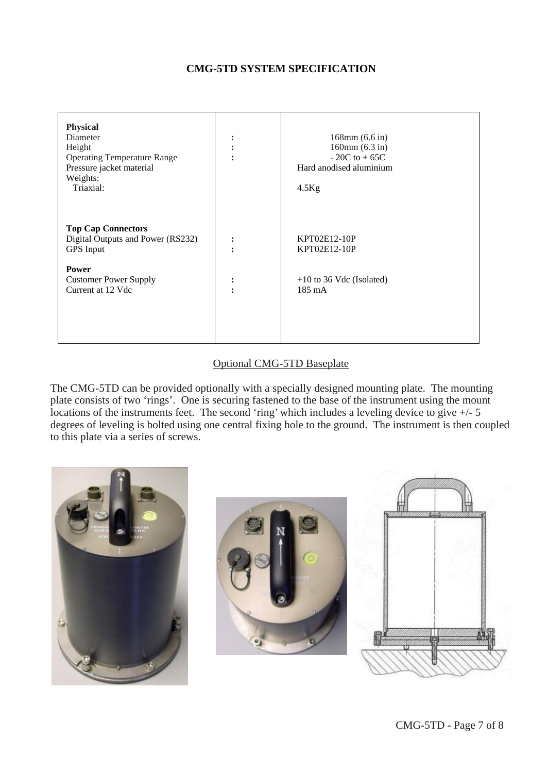### **CMG-5TD SYSTEM SPECIFICATION**

| <b>Physical</b><br>Diameter<br>Height<br><b>Operating Temperature Range</b><br>Pressure jacket material<br>Weights:<br>Triaxial: | $\bullet$<br>٠<br>$\bullet$ | $168$ mm $(6.6 \text{ in})$<br>160mm(6.3 in)<br>$-20C$ to $+65C$<br>Hard anodised aluminium<br>$4.5$ Kg |
|----------------------------------------------------------------------------------------------------------------------------------|-----------------------------|---------------------------------------------------------------------------------------------------------|
| <b>Top Cap Connectors</b><br>Digital Outputs and Power (RS232)<br><b>GPS</b> Input                                               | $\ddot{\cdot}$              | KPT02E12-10P<br>KPT02E12-10P                                                                            |
| <b>Power</b><br><b>Customer Power Supply</b><br>Current at 12 Vdc                                                                | $\ddot{\cdot}$              | $+10$ to 36 Vdc (Isolated)<br>$185 \text{ mA}$                                                          |
|                                                                                                                                  |                             |                                                                                                         |

#### Optional CMG-5TD Baseplate

The CMG-5TD can be provided optionally with a specially designed mounting plate. The mounting plate consists of two 'rings'. One is securing fastened to the base of the instrument using the mount locations of the instruments feet. The second 'ring' which includes a leveling device to give  $+/- 5$ degrees of leveling is bolted using one central fixing hole to the ground. The instrument is then coupled to this plate via a series of screws.